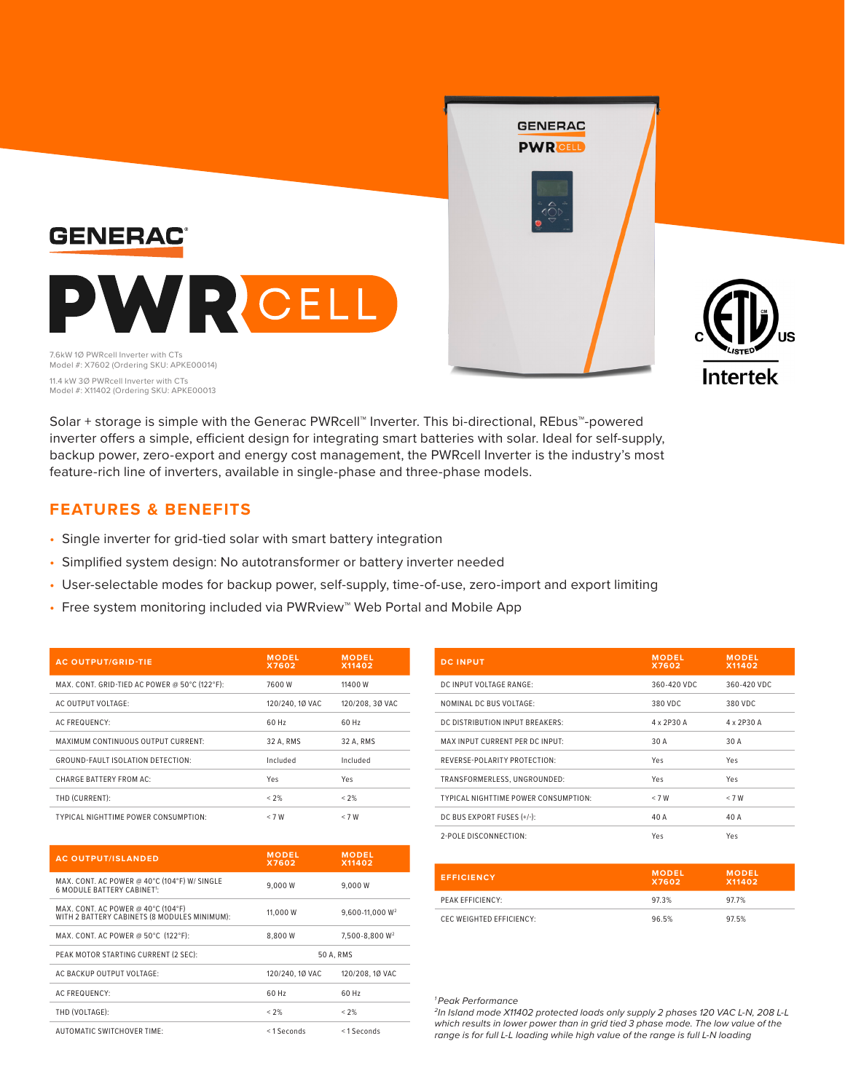

Solar + storage is simple with the Generac PWRcell™ Inverter. This bi-directional, REbus™-powered inverter offers a simple, efficient design for integrating smart batteries with solar. Ideal for self-supply, backup power, zero-export and energy cost management, the PWRcell Inverter is the industry's most feature-rich line of inverters, available in single-phase and three-phase models.

## **FEATURES & BENEFITS**

- Single inverter for grid-tied solar with smart battery integration
- Simplified system design: No autotransformer or battery inverter needed
- User-selectable modes for backup power, self-supply, time-of-use, zero-import and export limiting
- Free system monitoring included via PWRview™ Web Portal and Mobile App

| <b>AC OUTPUT/GRID-TIE</b>                     | <b>MODEL</b><br>X7602 | <b>MODEL</b><br>X11402 |
|-----------------------------------------------|-----------------------|------------------------|
| MAX, CONT, GRID-TIED AC POWER @ 50°C (122°F): | 7600 W                | 11400 W                |
| AC OUTPUT VOLTAGE:                            | 120/240, 10 VAC       | 120/208, 30 VAC        |
| <b>AC FREQUENCY:</b>                          | 60 Hz                 | 60 Hz                  |
| <b>MAXIMUM CONTINUOUS OUTPUT CURRENT:</b>     | 32 A. RMS             | 32 A. RMS              |
| <b>GROUND-FAULT ISOLATION DETECTION:</b>      | Included              | Included               |
| <b>CHARGE BATTERY FROM AC:</b>                | Yes                   | Yes                    |
| THD (CURRENT):                                | < 2%                  | < 2%                   |
| <b>TYPICAL NIGHTTIME POWER CONSUMPTION:</b>   | < 7 W                 | < 7 W                  |

| <b>AC OUTPUT/ISLANDED</b>                                                          | <b>MODEL</b><br>X7602 | <b>MODEL</b><br>X11402     |
|------------------------------------------------------------------------------------|-----------------------|----------------------------|
| MAX, CONT. AC POWER @ 40°C (104°F) W/ SINGLE<br>6 MODULE BATTERY CABINET!          | 9.000 W               | 9.000 W                    |
| MAX, CONT. AC POWER @ 40°C (104°F)<br>WITH 2 BATTERY CABINETS (8 MODULES MINIMUM): | 11,000 W              | $9.600 - 11.000 W^2$       |
| MAX, CONT. AC POWER @ 50°C (122°F):                                                | 8.800W                | 7.500-8.800 W <sup>2</sup> |
| PEAK MOTOR STARTING CURRENT (2 SEC):                                               | 50 A. RMS             |                            |
| AC BACKUP OUTPUT VOLTAGE:                                                          | 120/240, 10 VAC       | 120/208, 10 VAC            |
| <b>AC FREQUENCY:</b>                                                               | 60 Hz                 | 60 Hz                      |
| THD (VOLTAGE):                                                                     | $< 2\%$               | < 2%                       |
| AUTOMATIC SWITCHOVER TIME:                                                         | <1 Seconds            | <1 Seconds                 |

| <b>DC INPUT</b>                             | <b>MODEL</b><br>X7602 | <b>MODEL</b><br>X11402 |
|---------------------------------------------|-----------------------|------------------------|
| DC INPUT VOLTAGE RANGE:                     | 360-420 VDC           | 360-420 VDC            |
| NOMINAL DC BUS VOLTAGE:                     | 380 VDC               | 380 VDC                |
| DC DISTRIBUTION INPUT BREAKERS:             | 4 x 2P30 A            | 4 x 2P30 A             |
| MAX INPUT CURRENT PER DC INPUT:             | 30 A                  | 30 A                   |
| REVERSE-POLARITY PROTECTION:                | Yes                   | Yes                    |
| TRANSFORMERLESS, UNGROUNDED:                | Yes                   | Yes                    |
| <b>TYPICAL NIGHTTIME POWER CONSUMPTION:</b> | < 7 W                 | < 7 W                  |
| DC BUS EXPORT FUSES (+/-):                  | 40 A                  | 40 A                   |
| 2-POLE DISCONNECTION:                       | Yes                   | Yes                    |

| <b>EFFICIENCY</b>        | <b>MODEL</b><br>X7602 | <b>MODEL</b><br>X11402 |
|--------------------------|-----------------------|------------------------|
| PEAK EFFICIENCY:         | 97.3%                 | 97.7%                  |
| CEC WEIGHTED EFFICIENCY: | 96.5%                 | 97.5%                  |

## *1 Peak Performance*

*2In Island mode X11402 protected loads only supply 2 phases 120 VAC L-N, 208 L-L which results in lower power than in grid tied 3 phase mode. The low value of the range is for full L-L loading while high value of the range is full L-N loading*